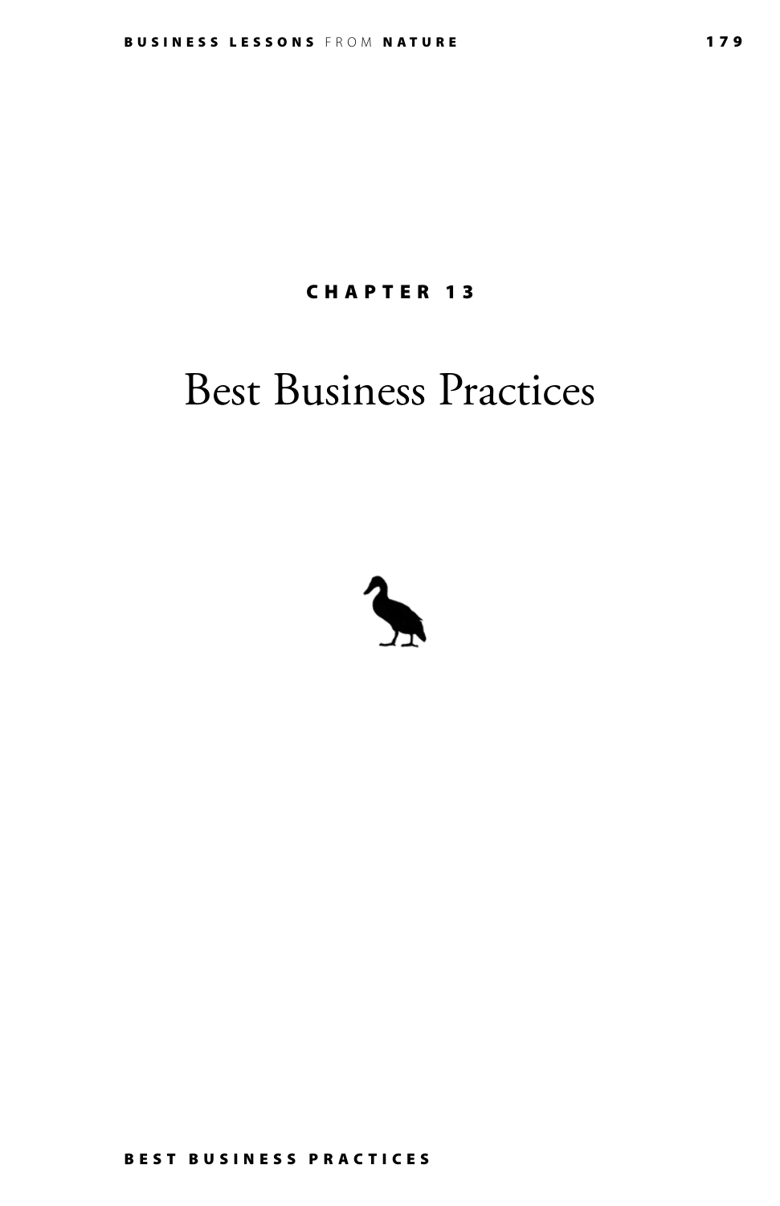## C H A P T E R 1 3

## Best Business Practices

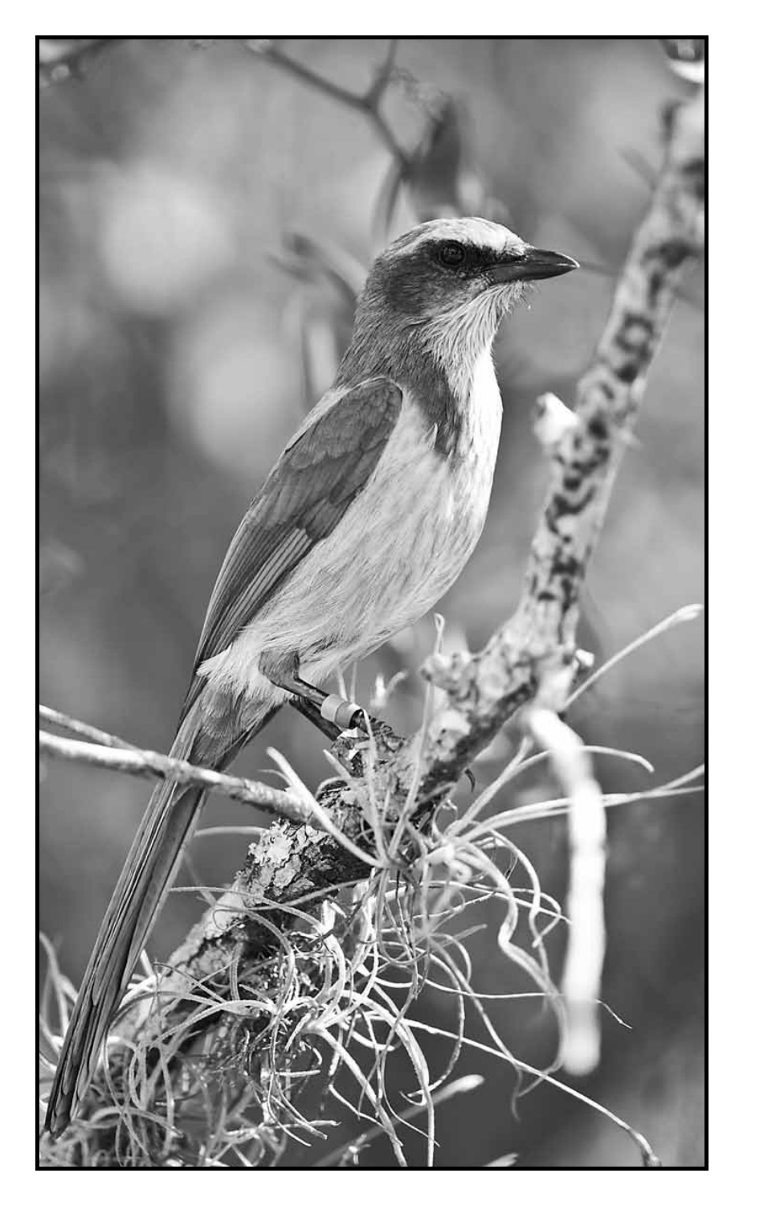